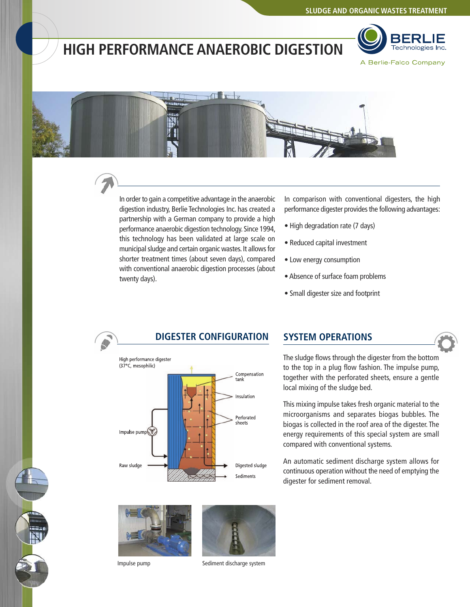## **HIGH PERFORMANCE ANAEROBIC DIGESTION**





In order to gain a competitive advantage in the anaerobic digestion industry, Berlie Technologies Inc. has created a partnership with a German company to provide a high performance anaerobic digestion technology. Since 1994, this technology has been validated at large scale on municipal sludge and certain organic wastes. It allows for shorter treatment times (about seven days), compared with conventional anaerobic digestion processes (about twenty days).

In comparison with conventional digesters, the high performance digester provides the following advantages:

- High degradation rate (7 days)
- Reduced capital investment
- Low energy consumption
- Absence of surface foam problems
- Small digester size and footprint



### **DIGESTER CONFIGURATION SYSTEM OPERATIONS**

The sludge flows through the digester from the bottom to the top in a plug flow fashion. The impulse pump, together with the perforated sheets, ensure a gentle local mixing of the sludge bed.

This mixing impulse takes fresh organic material to the microorganisms and separates biogas bubbles. The biogas is collected in the roof area of the digester. The energy requirements of this special system are small compared with conventional systems.

An automatic sediment discharge system allows for continuous operation without the need of emptying the digester for sediment removal.





Impulse pump Sediment discharge system